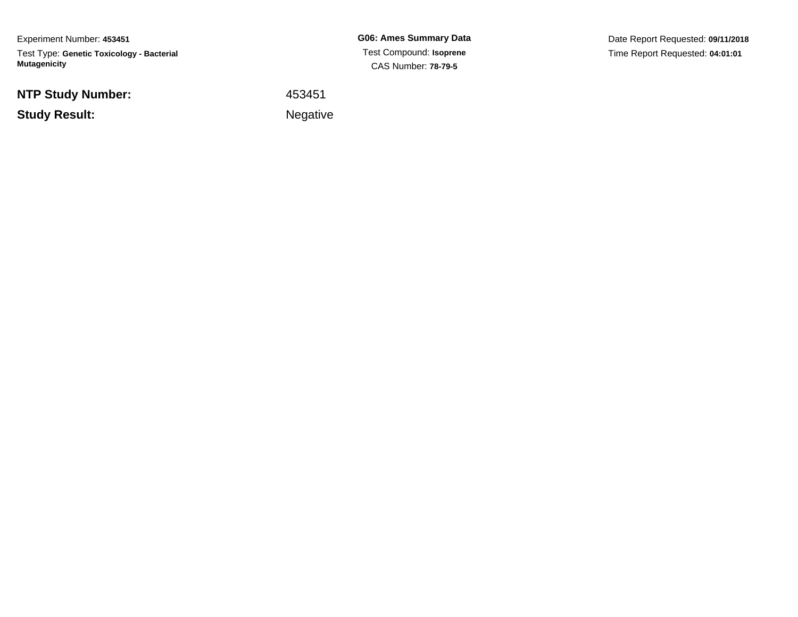Experiment Number: **453451**Test Type: **Genetic Toxicology - Bacterial Mutagenicity**

**NTP Study Number:**

**Example 2** is a set of the set of the Negative **Study Result:**

**G06: Ames Summary Data** Test Compound: **Isoprene**CAS Number: **78-79-5**

Date Report Requested: **09/11/2018**Time Report Requested: **04:01:01**

<sup>453451</sup>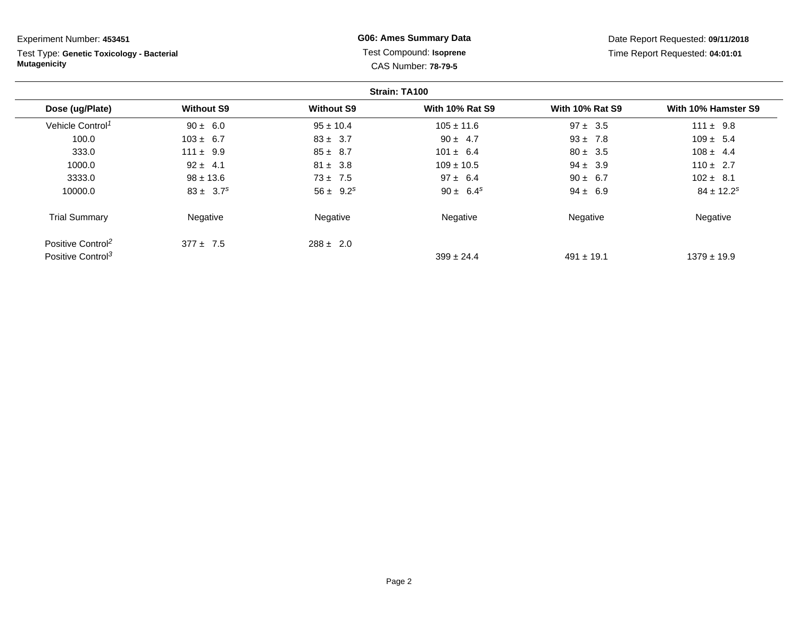Test Type: **Genetic Toxicology - Bacterial Mutagenicity**

## **G06: Ames Summary Data** Test Compound: **Isoprene**CAS Number: **78-79-5**

|                               |                   |                   | Strain: TA100          |                        |                            |
|-------------------------------|-------------------|-------------------|------------------------|------------------------|----------------------------|
| Dose (ug/Plate)               | <b>Without S9</b> | <b>Without S9</b> | <b>With 10% Rat S9</b> | <b>With 10% Rat S9</b> | With 10% Hamster S9        |
| Vehicle Control <sup>1</sup>  | $90 \pm 6.0$      | $95 \pm 10.4$     | $105 \pm 11.6$         | $97 \pm 3.5$           | $111 \pm 9.8$              |
| 100.0                         | $103 \pm 6.7$     | $83 \pm 3.7$      | $90 \pm 4.7$           | $93 \pm 7.8$           | $109 \pm 5.4$              |
| 333.0                         | $111 \pm 9.9$     | $85 \pm 8.7$      | $101 \pm 6.4$          | $80 \pm 3.5$           | $108 \pm 4.4$              |
| 1000.0                        | $92 \pm 4.1$      | $81 \pm 3.8$      | $109 \pm 10.5$         | $94 \pm 3.9$           | $110 \pm 2.7$              |
| 3333.0                        | $98 \pm 13.6$     | $73 \pm 7.5$      | $97 \pm 6.4$           | $90 \pm 6.7$           | $102 \pm 8.1$              |
| 10000.0                       | $83 \pm 3.7^s$    | $56 \pm 9.2^s$    | $90 \pm 6.4^s$         | $94 \pm 6.9$           | $84 \pm 12.2$ <sup>s</sup> |
| <b>Trial Summary</b>          | Negative          | Negative          | Negative               | Negative               | Negative                   |
| Positive Control <sup>2</sup> | $377 + 7.5$       | $288 \pm 2.0$     |                        |                        |                            |
| Positive Control <sup>3</sup> |                   |                   | $399 \pm 24.4$         | $491 \pm 19.1$         | $1379 \pm 19.9$            |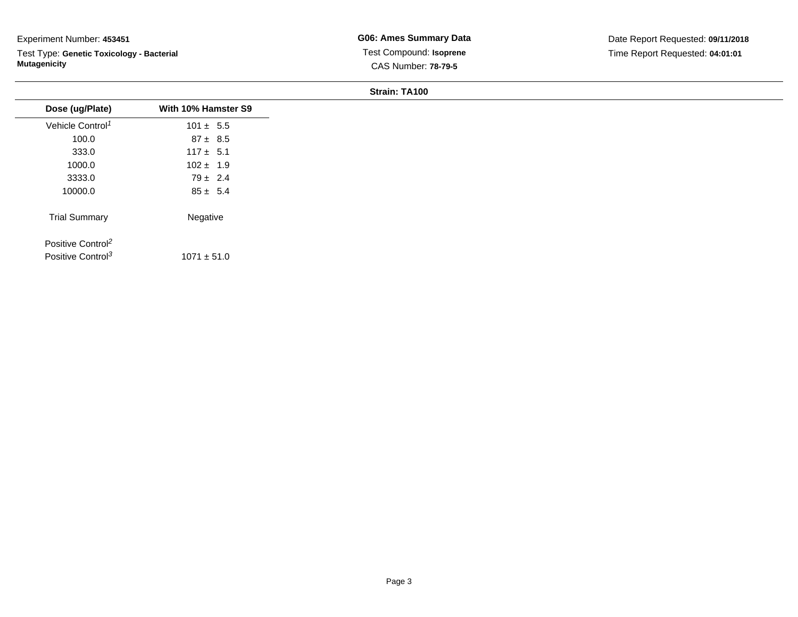Test Type: **Genetic Toxicology - Bacterial Mutagenicity**

**G06: Ames Summary Data** Test Compound: **Isoprene**CAS Number: **78-79-5**

**Strain: TA100**

| Dose (ug/Plate)               | With 10% Hamster S9 |
|-------------------------------|---------------------|
| Vehicle Control <sup>1</sup>  | $101 \pm 5.5$       |
| 100.0                         | $87 \pm 8.5$        |
| 333.0                         | $117 \pm 5.1$       |
| 1000.0                        | $102 \pm 1.9$       |
| 3333.0                        | $79 \pm 2.4$        |
| 10000.0                       | $85 \pm 5.4$        |
| <b>Trial Summary</b>          | Negative            |
| Positive Control <sup>2</sup> |                     |
|                               | $1071 \pm 51.0$     |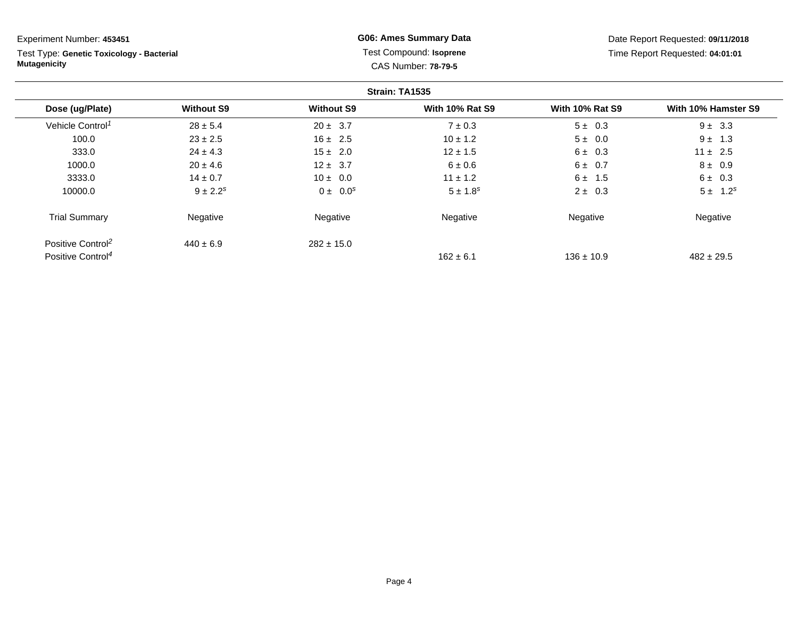Test Type: **Genetic Toxicology - Bacterial Mutagenicity**

## **G06: Ames Summary Data** Test Compound: **Isoprene**CAS Number: **78-79-5**

|                               |                   |                   | Strain: TA1535         |                        |                     |
|-------------------------------|-------------------|-------------------|------------------------|------------------------|---------------------|
| Dose (ug/Plate)               | <b>Without S9</b> | <b>Without S9</b> | <b>With 10% Rat S9</b> | <b>With 10% Rat S9</b> | With 10% Hamster S9 |
| Vehicle Control <sup>1</sup>  | $28 \pm 5.4$      | $20 \pm 3.7$      | $7 \pm 0.3$            | $5 \pm 0.3$            | $9 \pm 3.3$         |
| 100.0                         | $23 \pm 2.5$      | $16 \pm 2.5$      | $10 \pm 1.2$           | $5 \pm 0.0$            | $9 \pm 1.3$         |
| 333.0                         | $24 \pm 4.3$      | $15 \pm 2.0$      | $12 \pm 1.5$           | $6 \pm 0.3$            | $11 \pm 2.5$        |
| 1000.0                        | $20 \pm 4.6$      | $12 \pm 3.7$      | $6 \pm 0.6$            | $6 \pm 0.7$            | $8 \pm 0.9$         |
| 3333.0                        | $14 \pm 0.7$      | $10 \pm 0.0$      | $11 \pm 1.2$           | $6 \pm 1.5$            | $6 \pm 0.3$         |
| 10000.0                       | $9 \pm 2.2^s$     | $0 \pm 0.0^s$     | $5 \pm 1.8^s$          | $2 \pm 0.3$            | $5 \pm 1.2^s$       |
| <b>Trial Summary</b>          | Negative          | Negative          | Negative               | Negative               | Negative            |
| Positive Control <sup>2</sup> | $440 \pm 6.9$     | $282 \pm 15.0$    |                        |                        |                     |
| Positive Control <sup>4</sup> |                   |                   | $162 \pm 6.1$          | $136 \pm 10.9$         | $482 \pm 29.5$      |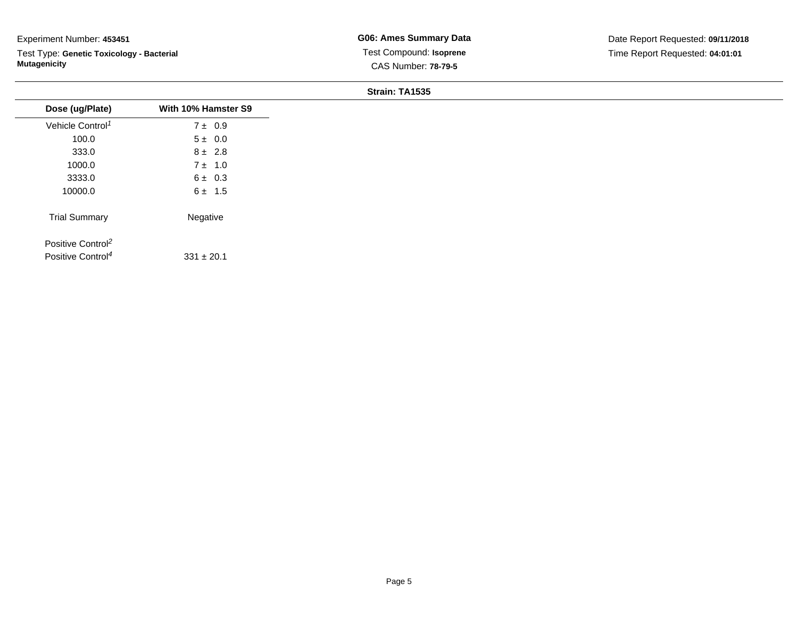Test Type: **Genetic Toxicology - Bacterial Mutagenicity**

**G06: Ames Summary Data** Test Compound: **Isoprene**CAS Number: **78-79-5**

|                               |                     | Strain: TA1535 |
|-------------------------------|---------------------|----------------|
| Dose (ug/Plate)               | With 10% Hamster S9 |                |
| Vehicle Control <sup>1</sup>  | $7 \pm 0.9$         |                |
| 100.0                         | $5 \pm 0.0$         |                |
| 333.0                         | $8 \pm 2.8$         |                |
| 1000.0                        | $7 \pm 1.0$         |                |
| 3333.0                        | $6 \pm 0.3$         |                |
| 10000.0                       | $6 \pm 1.5$         |                |
| <b>Trial Summary</b>          | Negative            |                |
| Positive Control <sup>2</sup> |                     |                |
| Positive Control <sup>4</sup> | $331 \pm 20.1$      |                |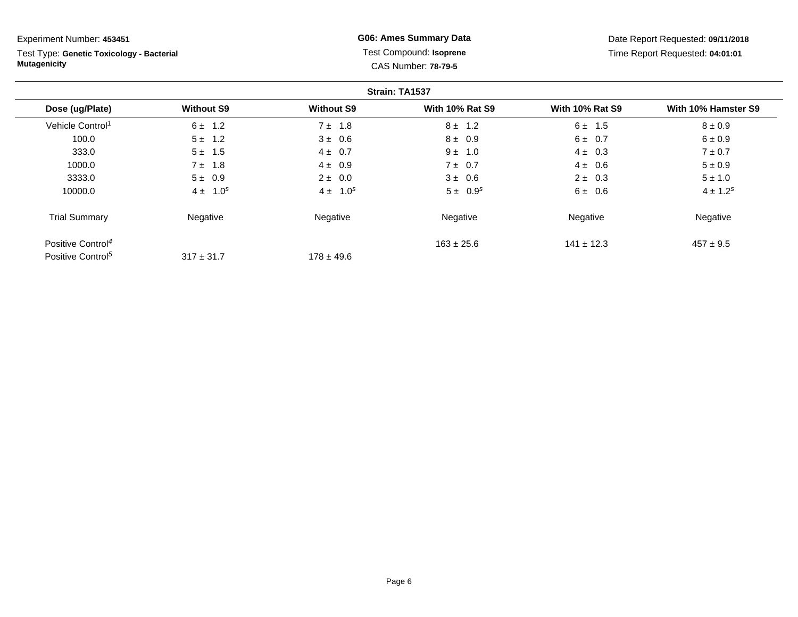Test Type: **Genetic Toxicology - Bacterial Mutagenicity**

## **G06: Ames Summary Data** Test Compound: **Isoprene**CAS Number: **78-79-5**

|                               |                   |                   | Strain: TA1537         |                        |                     |
|-------------------------------|-------------------|-------------------|------------------------|------------------------|---------------------|
| Dose (ug/Plate)               | <b>Without S9</b> | <b>Without S9</b> | <b>With 10% Rat S9</b> | <b>With 10% Rat S9</b> | With 10% Hamster S9 |
| Vehicle Control <sup>1</sup>  | $6 \pm 1.2$       | $7 \pm 1.8$       | $8 \pm 1.2$            | $6 \pm 1.5$            | $8 \pm 0.9$         |
| 100.0                         | $5 \pm 1.2$       | $3 \pm 0.6$       | $8 \pm 0.9$            | $6 \pm 0.7$            | $6 \pm 0.9$         |
| 333.0                         | $5 \pm 1.5$       | $4 \pm 0.7$       | $9 \pm 1.0$            | $4 \pm 0.3$            | $7 \pm 0.7$         |
| 1000.0                        | $7 \pm 1.8$       | $4 \pm 0.9$       | $7 \pm 0.7$            | $4 \pm 0.6$            | $5 \pm 0.9$         |
| 3333.0                        | $5 \pm 0.9$       | $2 \pm 0.0$       | $3 \pm 0.6$            | $2 \pm 0.3$            | $5 \pm 1.0$         |
| 10000.0                       | $4 \pm 1.0^s$     | $4 \pm 1.0^s$     | $5 \pm 0.9^s$          | $6 \pm 0.6$            | $4 \pm 1.2^s$       |
| <b>Trial Summary</b>          | Negative          | Negative          | Negative               | Negative               | Negative            |
| Positive Control <sup>4</sup> |                   |                   | $163 \pm 25.6$         | $141 \pm 12.3$         | $457 \pm 9.5$       |
| Positive Control <sup>5</sup> | $317 \pm 31.7$    | $178 \pm 49.6$    |                        |                        |                     |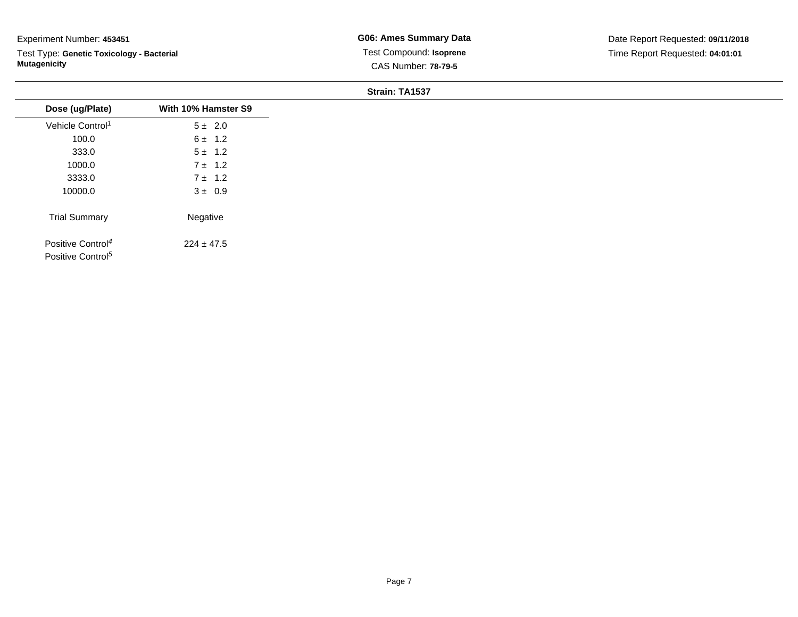Test Type: **Genetic Toxicology - Bacterial Mutagenicity**

### **Strain: TA1537**

| Dose (ug/Plate)               | With 10% Hamster S9 |
|-------------------------------|---------------------|
| Vehicle Control <sup>1</sup>  | $5 \pm 2.0$         |
| 100.0                         | $6 \pm 1.2$         |
| 333.0                         | $5 \pm 1.2$         |
| 1000.0                        | $7 \pm 1.2$         |
| 3333.0                        | $7 \pm 1.2$         |
| 10000.0                       | $3 \pm 0.9$         |
| <b>Trial Summary</b>          | Negative            |
| Positive Control <sup>4</sup> | $224 \pm 47.5$      |
| Positive Control <sup>5</sup> |                     |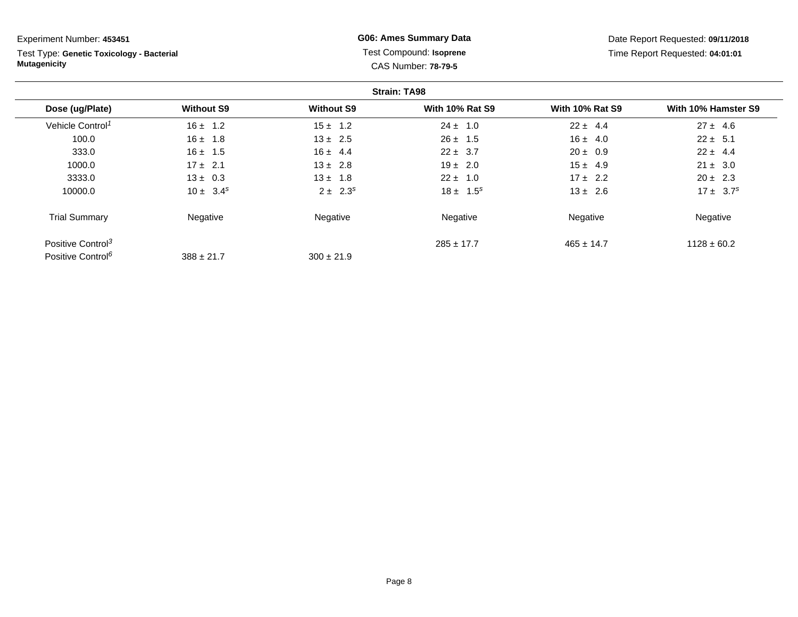Test Type: **Genetic Toxicology - Bacterial Mutagenicity**

## **G06: Ames Summary Data** Test Compound: **Isoprene**CAS Number: **78-79-5**

|                               |                   |                   | <b>Strain: TA98</b>    |                        |                     |
|-------------------------------|-------------------|-------------------|------------------------|------------------------|---------------------|
| Dose (ug/Plate)               | <b>Without S9</b> | <b>Without S9</b> | <b>With 10% Rat S9</b> | <b>With 10% Rat S9</b> | With 10% Hamster S9 |
| Vehicle Control <sup>1</sup>  | $16 \pm 1.2$      | $15 \pm 1.2$      | $24 \pm 1.0$           | $22 \pm 4.4$           | $27 \pm 4.6$        |
| 100.0                         | $16 \pm 1.8$      | $13 \pm 2.5$      | $26 \pm 1.5$           | $16 \pm 4.0$           | $22 \pm 5.1$        |
| 333.0                         | $16 \pm 1.5$      | $16 \pm 4.4$      | $22 \pm 3.7$           | $20 \pm 0.9$           | $22 \pm 4.4$        |
| 1000.0                        | $17 \pm 2.1$      | $13 \pm 2.8$      | $19 \pm 2.0$           | $15 \pm 4.9$           | $21 \pm 3.0$        |
| 3333.0                        | $13 \pm 0.3$      | $13 \pm 1.8$      | $22 \pm 1.0$           | $17 \pm 2.2$           | $20 \pm 2.3$        |
| 10000.0                       | $10 \pm 3.4^s$    | $2 \pm 2.3^s$     | $18 \pm 1.5^s$         | $13 \pm 2.6$           | $17 \pm 3.7^s$      |
| <b>Trial Summary</b>          | Negative          | Negative          | Negative               | Negative               | Negative            |
| Positive Control <sup>3</sup> |                   |                   | $285 \pm 17.7$         | $465 \pm 14.7$         | $1128 \pm 60.2$     |
| Positive Control <sup>6</sup> | $388 \pm 21.7$    | $300 \pm 21.9$    |                        |                        |                     |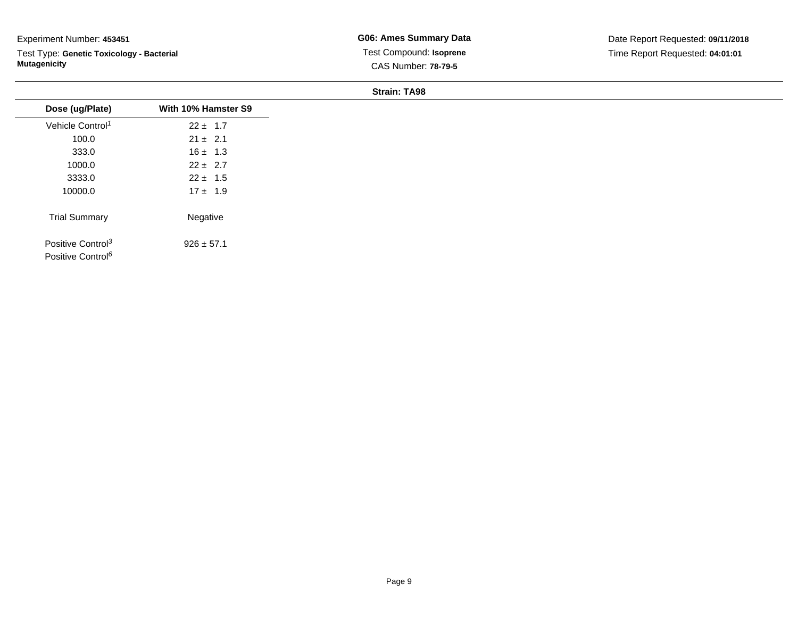Test Type: **Genetic Toxicology - Bacterial Mutagenicity**

**G06: Ames Summary Data** Test Compound: **Isoprene**CAS Number: **78-79-5**

#### **Strain: TA98**

| Dose (ug/Plate)                                                | With 10% Hamster S9 |
|----------------------------------------------------------------|---------------------|
| Vehicle Control <sup>1</sup>                                   | $22 \pm 1.7$        |
| 100.0                                                          | $21 \pm 2.1$        |
| 333.0                                                          | $16 \pm 1.3$        |
| 1000.0                                                         | $22 \pm 2.7$        |
| 3333.0                                                         | $22 \pm 1.5$        |
| 10000.0                                                        | $17 \pm 1.9$        |
| <b>Trial Summary</b>                                           | Negative            |
| Positive Control <sup>3</sup><br>Positive Control <sup>6</sup> | $926 \pm 57.1$      |